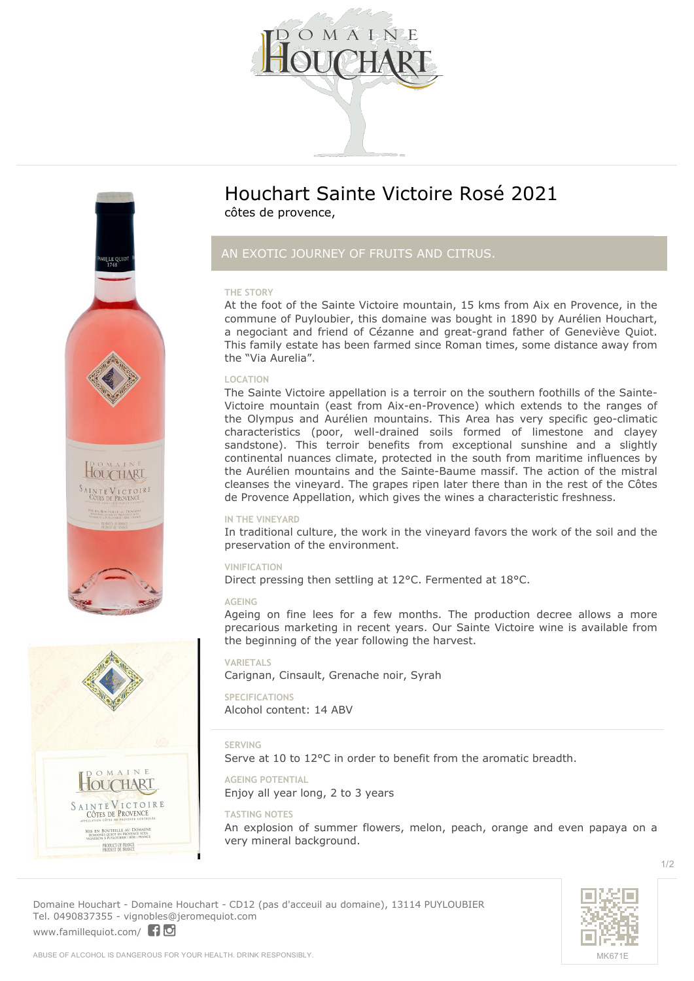



# *AN EXOTIC JOURNEY OF FRUITS AND CITRUS.*

# **THE STORY**

At the foot of the Sainte Victoire mountain, 15 kms from Aix en Provence, in the commune of Puyloubier, this domaine was bought in 1890 by Aurélien Houchart, a negociant and friend of Cézanne and great-grand father of Geneviève Quiot. This family estate has been farmed since Roman times, some distance away from the "Via Aurelia".

## **LOCATION**

The Sainte Victoire appellation is a terroir on the southern foothills of the Sainte-Victoire mountain (east from Aix-en-Provence) which extends to the ranges of the Olympus and Aurélien mountains. This Area has very specific geo-climatic characteristics (poor, well-drained soils formed of limestone and clayey sandstone). This terroir benefits from exceptional sunshine and a slightly continental nuances climate, protected in the south from maritime influences by the Aurélien mountains and the Sainte-Baume massif. The action of the mistral cleanses the vineyard. The grapes ripen later there than in the rest of the Côtes de Provence Appellation, which gives the wines a characteristic freshness.

#### **IN THE VINEYARD**

In traditional culture, the work in the vineyard favors the work of the soil and the preservation of the environment.

# **VINIFICATION**

Direct pressing then settling at 12°C. Fermented at 18°C.

#### **AGEING**

Ageing on fine lees for a few months. The production decree allows a more precarious marketing in recent years. Our Sainte Victoire wine is available from the beginning of the year following the harvest.

#### **VARIETALS** Carignan, Cinsault, Grenache noir, Syrah

**SPECIFICATIONS** Alcohol content: 14 ABV

#### **SERVING**

Serve at 10 to 12°C in order to benefit from the aromatic breadth.

**AGEING POTENTIAL** Enjoy all year long, 2 to 3 years

#### **TASTING NOTES**

An explosion of summer flowers, melon, peach, orange and even papaya on a very mineral background.

**Domaine Houchart** - Domaine Houchart - CD12 (pas d'acceuil au domaine), 13114 PUYLOUBIER Tel. 0490837355 - vignobles@jeromequiot.com <www.famillequiot.com/>10

1/2